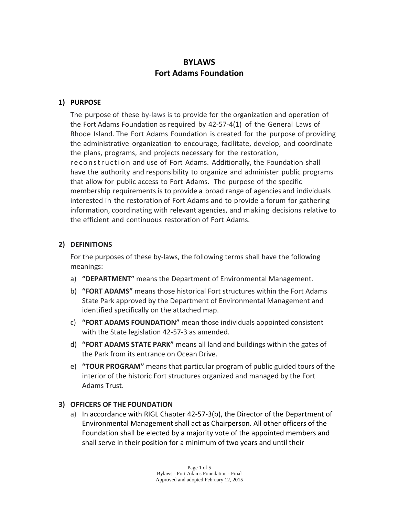# **BYLAWS Fort Adams Foundation**

#### **1) PURPOSE**

The purpose of these by-laws is to provide for the organization and operation of the Fort Adams Foundation as required by 42‐57‐4(1) of the General Laws of Rhode Island. The Fort Adams Foundation is created for the purpose of providing the administrative organization to encourage, facilitate, develop, and coordinate the plans, programs, and projects necessary for the restoration, reconstruction and use of Fort Adams. Additionally, the Foundation shall have the authority and responsibility to organize and administer public programs that allow for public access to Fort Adams. The purpose of the specific membership requirements is to provide a broad range of agencies and individuals interested in the restoration of Fort Adams and to provide a forum for gathering information, coordinating with relevant agencies, and making decisions relative to the efficient and continuous restoration of Fort Adams.

#### **2) DEFINITIONS**

For the purposes of these by‐laws, the following terms shall have the following meanings:

- a) **"DEPARTMENT"** means the Department of Environmental Management.
- b) **"FORT ADAMS"** means those historical Fort structures within the Fort Adams State Park approved by the Department of Environmental Management and identified specifically on the attached map.
- c) **"FORT ADAMS FOUNDATION"** mean those individuals appointed consistent with the State legislation 42‐57‐3 as amended.
- d) **"FORT ADAMS STATE PARK"** means all land and buildings within the gates of the Park from its entrance on Ocean Drive.
- e) **"TOUR PROGRAM"** means that particular program of public guided tours of the interior of the historic Fort structures organized and managed by the Fort Adams Trust.

#### **3) OFFICERS OF THE FOUNDATION**

a) In accordance with RIGL Chapter 42‐57‐3(b), the Director of the Department of Environmental Management shall act as Chairperson. All other officers of the Foundation shall be elected by a majority vote of the appointed members and shall serve in their position for a minimum of two years and until their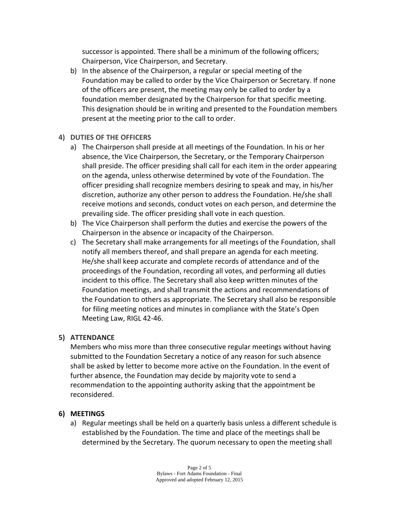successor is appointed. There shall be a minimum of the following officers; Chairperson, Vice Chairperson, and Secretary.

b) In the absence of the Chairperson, a regular or special meeting of the Foundation may be called to order by the Vice Chairperson or Secretary. If none of the officers are present, the meeting may only be called to order by a foundation member designated by the Chairperson for that specific meeting. This designation should be in writing and presented to the Foundation members present at the meeting prior to the call to order.

## **4) DUTIES OF THE OFFICERS**

- a) The Chairperson shall preside at all meetings of the Foundation. In his or her absence, the Vice Chairperson, the Secretary, or the Temporary Chairperson shall preside. The officer presiding shall call for each item in the order appearing on the agenda, unless otherwise determined by vote of the Foundation. The officer presiding shall recognize members desiring to speak and may, in his/her discretion, authorize any other person to address the Foundation. He/she shall receive motions and seconds, conduct votes on each person, and determine the prevailing side. The officer presiding shall vote in each question.
- b) The Vice Chairperson shall perform the duties and exercise the powers of the Chairperson in the absence or incapacity of the Chairperson.
- c) The Secretary shall make arrangements for all meetings of the Foundation, shall notify all members thereof, and shall prepare an agenda for each meeting. He/she shall keep accurate and complete records of attendance and of the proceedings of the Foundation, recording all votes, and performing all duties incident to this office. The Secretary shall also keep written minutes of the Foundation meetings, and shall transmit the actions and recommendations of the Foundation to others as appropriate. The Secretary shall also be responsible for filing meeting notices and minutes in compliance with the State's Open Meeting Law, RIGL 42‐46.

#### **5) ATTENDANCE**

Members who miss more than three consecutive regular meetings without having submitted to the Foundation Secretary a notice of any reason for such absence shall be asked by letter to become more active on the Foundation. In the event of further absence, the Foundation may decide by majority vote to send a recommendation to the appointing authority asking that the appointment be reconsidered.

# **6) MEETINGS**

a) Regular meetings shall be held on a quarterly basis unless a different schedule is established by the Foundation. The time and place of the meetings shall be determined by the Secretary. The quorum necessary to open the meeting shall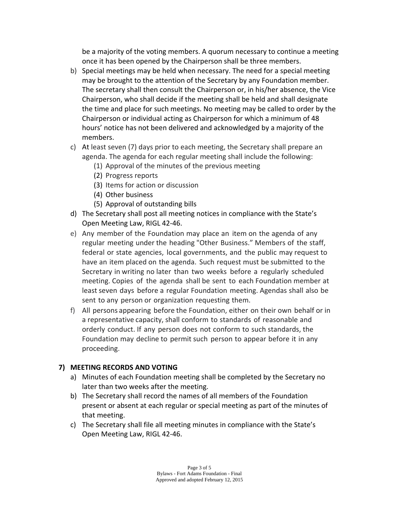be a majority of the voting members. A quorum necessary to continue a meeting once it has been opened by the Chairperson shall be three members.

- b) Special meetings may be held when necessary. The need for a special meeting may be brought to the attention of the Secretary by any Foundation member. The secretary shall then consult the Chairperson or, in his/her absence, the Vice Chairperson, who shall decide if the meeting shall be held and shall designate the time and place for such meetings. No meeting may be called to order by the Chairperson or individual acting as Chairperson for which a minimum of 48 hours' notice has not been delivered and acknowledged by a majority of the members.
- c) At least seven (7) days prior to each meeting, the Secretary shall prepare an agenda. The agenda for each regular meeting shall include the following:
	- (1) Approval of the minutes of the previous meeting
	- (2) Progress reports
	- (3) Items for action or discussion
	- (4) Other business
	- (5) Approval of outstanding bills
- d) The Secretary shall post all meeting notices in compliance with the State's Open Meeting Law, RIGL 42‐46.
- e) Any member of the Foundation may place an item on the agenda of any regular meeting under the heading "Other Business." Members of the staff, federal or state agencies, local governments, and the public may request to have an item placed on the agenda. Such request must be submitted to the Secretary in writing no later than two weeks before a regularly scheduled meeting. Copies of the agenda shall be sent to each Foundation member at least seven days before a regular Foundation meeting. Agendas shall also be sent to any person or organization requesting them.
- f) All persons appearing before the Foundation, either on their own behalf or in a representative capacity, shall conform to standards of reasonable and orderly conduct. If any person does not conform to such standards, the Foundation may decline to permit such person to appear before it in any proceeding.

#### **7) MEETING RECORDS AND VOTING**

- a) Minutes of each Foundation meeting shall be completed by the Secretary no later than two weeks after the meeting.
- b) The Secretary shall record the names of all members of the Foundation present or absent at each regular or special meeting as part of the minutes of that meeting.
- c) The Secretary shall file all meeting minutes in compliance with the State's Open Meeting Law, RIGL 42‐46.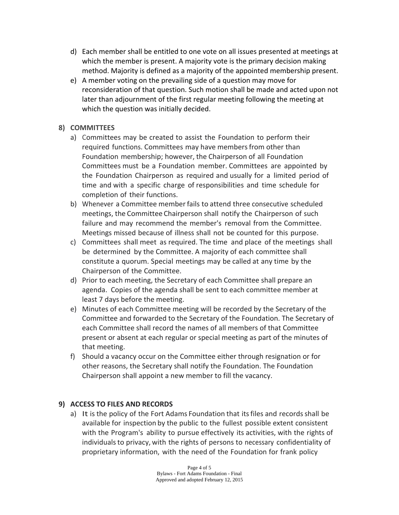- d) Each member shall be entitled to one vote on all issues presented at meetings at which the member is present. A majority vote is the primary decision making method. Majority is defined as a majority of the appointed membership present.
- e) A member voting on the prevailing side of a question may move for reconsideration of that question. Such motion shall be made and acted upon not later than adjournment of the first regular meeting following the meeting at which the question was initially decided.

## **8) COMMITTEES**

- a) Committees may be created to assist the Foundation to perform their required functions. Committees may have members from other than Foundation membership; however, the Chairperson of all Foundation Committees must be a Foundation member. Committees are appointed by the Foundation Chairperson as required and usually for a limited period of time and with a specific charge of responsibilities and time schedule for completion of their functions.
- b) Whenever a Committee memberfails to attend three consecutive scheduled meetings, the Committee Chairperson shall notify the Chairperson of such failure and may recommend the member's removal from the Committee. Meetings missed because of illness shall not be counted for this purpose.
- c) Committees shall meet as required. The time and place of the meetings shall be determined by the Committee. A majority of each committee shall constitute a quorum. Special meetings may be called at any time by the Chairperson of the Committee.
- d) Prior to each meeting, the Secretary of each Committee shall prepare an agenda. Copies of the agenda shall be sent to each committee member at least 7 days before the meeting.
- e) Minutes of each Committee meeting will be recorded by the Secretary of the Committee and forwarded to the Secretary of the Foundation. The Secretary of each Committee shall record the names of all members of that Committee present or absent at each regular or special meeting as part of the minutes of that meeting.
- f) Should a vacancy occur on the Committee either through resignation or for other reasons, the Secretary shall notify the Foundation. The Foundation Chairperson shall appoint a new member to fill the vacancy.

# **9) ACCESS TO FILES AND RECORDS**

a) It is the policy of the Fort Adams Foundation that itsfiles and recordsshall be available for inspection by the public to the fullest possible extent consistent with the Program's ability to pursue effectively its activities, with the rights of individuals to privacy, with the rights of persons to necessary confidentiality of proprietary information, with the need of the Foundation for frank policy